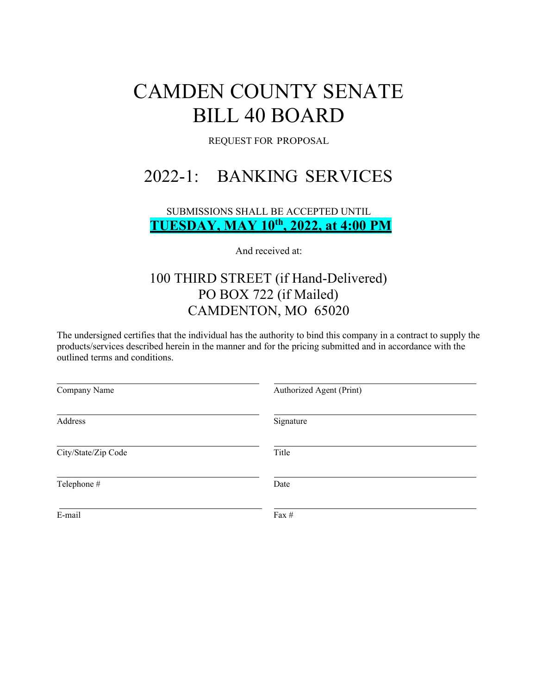# CAMDEN COUNTY SENATE BILL 40 BOARD

REQUEST FOR PROPOSAL

# 2022-1: BANKING SERVICES

SUBMISSIONS SHALL BE ACCEPTED UNTIL **TUESDAY, MAY 10th, 2022, at 4:00 PM**

And received at:

## 100 THIRD STREET (if Hand-Delivered) PO BOX 722 (if Mailed) CAMDENTON, MO 65020

The undersigned certifies that the individual has the authority to bind this company in a contract to supply the products/services described herein in the manner and for the pricing submitted and in accordance with the outlined terms and conditions.

| Company Name        | Authorized Agent (Print) |
|---------------------|--------------------------|
| Address             | Signature                |
| City/State/Zip Code | Title                    |
| Telephone #         | Date                     |
| E-mail              | Fax #                    |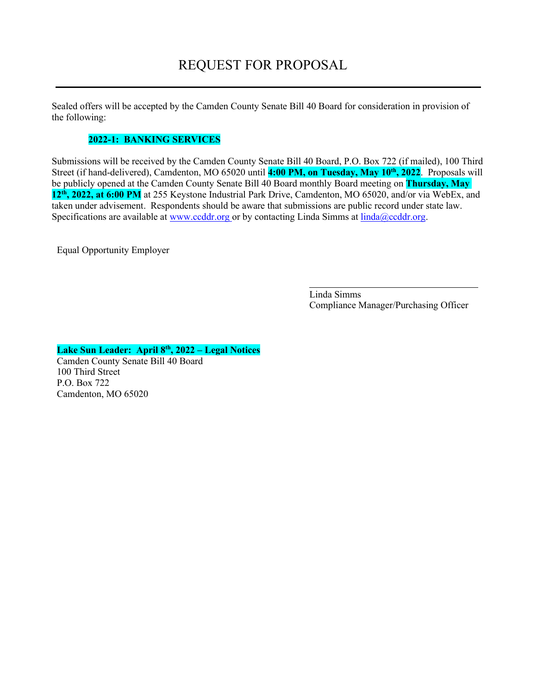Sealed offers will be accepted by the Camden County Senate Bill 40 Board for consideration in provision of the following:

#### **2022-1: BANKING SERVICES**

Submissions will be received by the Camden County Senate Bill 40 Board, P.O. Box 722 (if mailed), 100 Third Street (if hand-delivered), Camdenton, MO 65020 until **4:00 PM, on Tuesday, May 10 th, 2022**. Proposals will be publicly opened at the Camden County Senate Bill 40 Board monthly Board meeting on **Thursday, May 12th, 2022, at 6:00 PM** at 255 Keystone Industrial Park Drive, Camdenton, MO 65020, and/or via WebEx, and taken under advisement. Respondents should be aware that submissions are public record under state law. Specifications are available at www.ccddr.org or by contacting Linda Simms at  $\frac{linda@ccddr.org}{drq}$ .

Equal Opportunity Employer

Linda Simms Compliance Manager/Purchasing Officer

**Lake Sun Leader: April 8th, 2022 – Legal Notices**

Camden County Senate Bill 40 Board 100 Third Street P.O. Box 722 Camdenton, MO 65020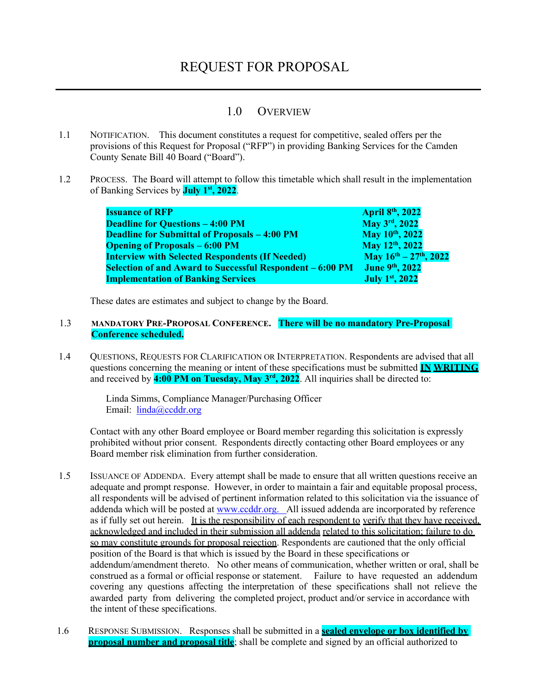### 1.0 OVERVIEW

- 1.1 NOTIFICATION. This document constitutes a request for competitive, sealed offers per the provisions of this Request for Proposal ("RFP") in providing Banking Services for the Camden County Senate Bill 40 Board ("Board").
- 1.2 PROCESS. The Board will attempt to follow this timetable which shall result in the implementation of Banking Services by **July 1 st, 2022**.

| <b>Issuance of RFP</b>                                    | April 8th, 2022                |
|-----------------------------------------------------------|--------------------------------|
| <b>Deadline for Questions - 4:00 PM</b>                   | May 3rd, 2022                  |
| <b>Deadline for Submittal of Proposals - 4:00 PM</b>      | May 10 <sup>th</sup> , 2022    |
| <b>Opening of Proposals – 6:00 PM</b>                     | May 12th, 2022                 |
| <b>Interview with Selected Respondents (If Needed)</b>    | May $16^{th} - 27^{th}$ , 2022 |
| Selection of and Award to Successful Respondent – 6:00 PM | June 9th, 2022                 |
| <b>Implementation of Banking Services</b>                 | July 1st, 2022                 |

These dates are estimates and subject to change by the Board.

#### 1.3 **MANDATORY PRE-PROPOSAL CONFERENCE. There will be no mandatory Pre-Proposal Conference scheduled.**

1.4 QUESTIONS, REQUESTS FOR CLARIFICATION OR INTERPRETATION. Respondents are advised that all questions concerning the meaning or intent of these specifications must be submitted **IN WRITING** and received by **4:00 PM on Tuesday, May 3 rd, 2022**. All inquiries shall be directed to:

> Linda Simms, Compliance Manager/Purchasing Officer Email: [linda@ccddr.org](mailto:linda@ccddr.org)

Contact with any other Board employee or Board member regarding this solicitation is expressly prohibited without prior consent. Respondents directly contacting other Board employees or any Board member risk elimination from further consideration.

- 1.5 ISSUANCE OF ADDENDA. Every attempt shall be made to ensure that all written questions receive an adequate and prompt response. However, in order to maintain a fair and equitable proposal process, all respondents will be advised of pertinent information related to this solicitation via the issuance of addenda which will be posted at www.ccddr.org. All issued addenda are incorporated by reference as if fully set out herein. It is the responsibility of each respondent to verify that they have received, acknowledged and included in their submission all addenda related to this solicitation; failure to do so may constitute grounds for proposal rejection. Respondents are cautioned that the only official position of the Board is that which is issued by the Board in these specifications or addendum/amendment thereto. No other means of communication, whether written or oral, shall be construed as a formal or official response or statement. Failure to have requested an addendum covering any questions affecting the interpretation of these specifications shall not relieve the awarded party from delivering the completed project, product and/or service in accordance with the intent of these specifications.
- 1.6 RESPONSE SUBMISSION. Responses shall be submitted in a **sealed envelope or box identified by proposal number and proposal title**; shall be complete and signed by an official authorized to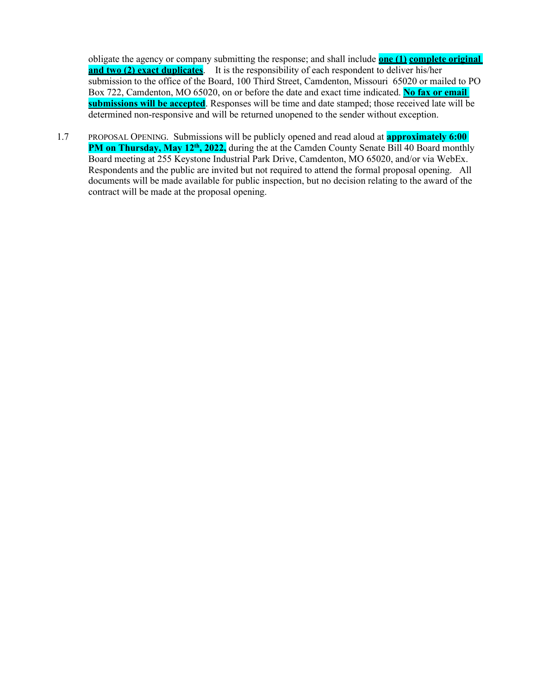obligate the agency or company submitting the response; and shall include **one (1) complete original and two (2) exact duplicates**. It is the responsibility of each respondent to deliver his/her submission to the office of the Board, 100 Third Street, Camdenton, Missouri 65020 or mailed to PO Box 722, Camdenton, MO 65020, on or before the date and exact time indicated. **No fax or email submissions will be accepted**. Responses will be time and date stamped; those received late will be determined non-responsive and will be returned unopened to the sender without exception.

1.7 PROPOSAL OPENING. Submissions will be publicly opened and read aloud at **approximately 6:00 PM on Thursday, May 12<sup>th</sup>, 2022,** during the at the Camden County Senate Bill 40 Board monthly Board meeting at 255 Keystone Industrial Park Drive, Camdenton, MO 65020, and/or via WebEx. Respondents and the public are invited but not required to attend the formal proposal opening. All documents will be made available for public inspection, but no decision relating to the award of the contract will be made at the proposal opening.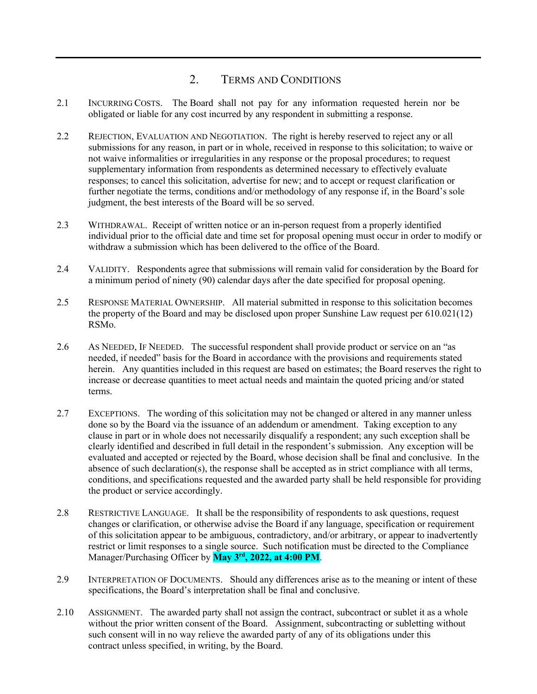## 2. TERMS AND CONDITIONS

- 2.1 INCURRING COSTS. The Board shall not pay for any information requested herein nor be obligated or liable for any cost incurred by any respondent in submitting a response.
- 2.2 REJECTION, EVALUATION AND NEGOTIATION. The right is hereby reserved to reject any or all submissions for any reason, in part or in whole, received in response to this solicitation; to waive or not waive informalities or irregularities in any response or the proposal procedures; to request supplementary information from respondents as determined necessary to effectively evaluate responses; to cancel this solicitation, advertise for new; and to accept or request clarification or further negotiate the terms, conditions and/or methodology of any response if, in the Board's sole judgment, the best interests of the Board will be so served.
- 2.3 WITHDRAWAL. Receipt of written notice or an in-person request from a properly identified individual prior to the official date and time set for proposal opening must occur in order to modify or withdraw a submission which has been delivered to the office of the Board.
- 2.4 VALIDITY. Respondents agree that submissions will remain valid for consideration by the Board for a minimum period of ninety (90) calendar days after the date specified for proposal opening.
- 2.5 RESPONSE MATERIAL OWNERSHIP. All material submitted in response to this solicitation becomes the property of the Board and may be disclosed upon proper Sunshine Law request per 610.021(12) RSMo.
- 2.6 AS NEEDED, IF NEEDED. The successful respondent shall provide product or service on an "as needed, if needed" basis for the Board in accordance with the provisions and requirements stated herein. Any quantities included in this request are based on estimates; the Board reserves the right to increase or decrease quantities to meet actual needs and maintain the quoted pricing and/or stated terms.
- 2.7 EXCEPTIONS. The wording of this solicitation may not be changed or altered in any manner unless done so by the Board via the issuance of an addendum or amendment. Taking exception to any clause in part or in whole does not necessarily disqualify a respondent; any such exception shall be clearly identified and described in full detail in the respondent's submission. Any exception will be evaluated and accepted or rejected by the Board, whose decision shall be final and conclusive. In the absence of such declaration(s), the response shall be accepted as in strict compliance with all terms, conditions, and specifications requested and the awarded party shall be held responsible for providing the product or service accordingly.
- 2.8 RESTRICTIVE LANGUAGE. It shall be the responsibility of respondents to ask questions, request changes or clarification, or otherwise advise the Board if any language, specification or requirement of this solicitation appear to be ambiguous, contradictory, and/or arbitrary, or appear to inadvertently restrict or limit responses to a single source. Such notification must be directed to the Compliance Manager/Purchasing Officer by **May 3rd, 2022, at 4:00 PM**.
- 2.9 INTERPRETATION OF DOCUMENTS. Should any differences arise as to the meaning or intent of these specifications, the Board's interpretation shall be final and conclusive.
- 2.10 ASSIGNMENT. The awarded party shall not assign the contract, subcontract or sublet it as a whole without the prior written consent of the Board. Assignment, subcontracting or subletting without such consent will in no way relieve the awarded party of any of its obligations under this contract unless specified, in writing, by the Board.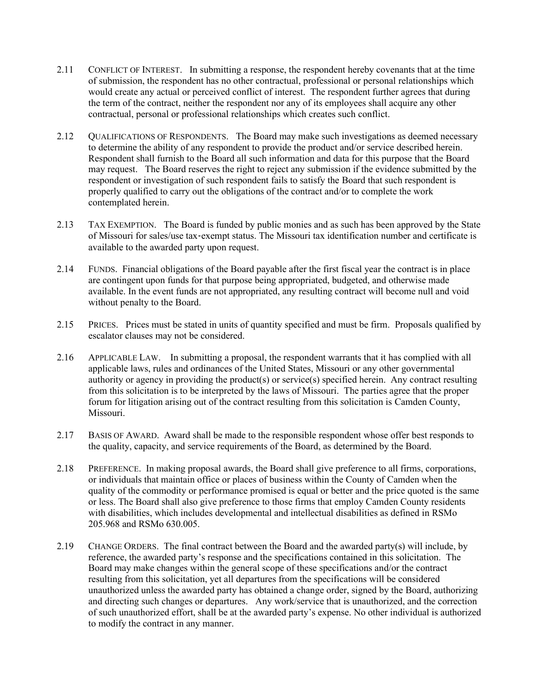- 2.11 CONFLICT OF INTEREST. In submitting a response, the respondent hereby covenants that at the time of submission, the respondent has no other contractual, professional or personal relationships which would create any actual or perceived conflict of interest. The respondent further agrees that during the term of the contract, neither the respondent nor any of its employees shall acquire any other contractual, personal or professional relationships which creates such conflict.
- 2.12 QUALIFICATIONS OF RESPONDENTS. The Board may make such investigations as deemed necessary to determine the ability of any respondent to provide the product and/or service described herein. Respondent shall furnish to the Board all such information and data for this purpose that the Board may request. The Board reserves the right to reject any submission if the evidence submitted by the respondent or investigation of such respondent fails to satisfy the Board that such respondent is properly qualified to carry out the obligations of the contract and/or to complete the work contemplated herein.
- 2.13 TAX EXEMPTION. The Board is funded by public monies and as such has been approved by the State of Missouri for sales/use tax‐exempt status. The Missouri tax identification number and certificate is available to the awarded party upon request.
- 2.14 FUNDS. Financial obligations of the Board payable after the first fiscal year the contract is in place are contingent upon funds for that purpose being appropriated, budgeted, and otherwise made available. In the event funds are not appropriated, any resulting contract will become null and void without penalty to the Board.
- 2.15 PRICES. Prices must be stated in units of quantity specified and must be firm. Proposals qualified by escalator clauses may not be considered.
- 2.16 APPLICABLE LAW. In submitting a proposal, the respondent warrants that it has complied with all applicable laws, rules and ordinances of the United States, Missouri or any other governmental authority or agency in providing the product(s) or service(s) specified herein. Any contract resulting from this solicitation is to be interpreted by the laws of Missouri. The parties agree that the proper forum for litigation arising out of the contract resulting from this solicitation is Camden County, Missouri.
- 2.17 BASIS OF AWARD. Award shall be made to the responsible respondent whose offer best responds to the quality, capacity, and service requirements of the Board, as determined by the Board.
- 2.18 PREFERENCE. In making proposal awards, the Board shall give preference to all firms, corporations, or individuals that maintain office or places of business within the County of Camden when the quality of the commodity or performance promised is equal or better and the price quoted is the same or less. The Board shall also give preference to those firms that employ Camden County residents with disabilities, which includes developmental and intellectual disabilities as defined in RSMo 205.968 and RSMo 630.005.
- 2.19 CHANGE ORDERS. The final contract between the Board and the awarded party(s) will include, by reference, the awarded party's response and the specifications contained in this solicitation. The Board may make changes within the general scope of these specifications and/or the contract resulting from this solicitation, yet all departures from the specifications will be considered unauthorized unless the awarded party has obtained a change order, signed by the Board, authorizing and directing such changes or departures. Any work/service that is unauthorized, and the correction of such unauthorized effort, shall be at the awarded party's expense. No other individual is authorized to modify the contract in any manner.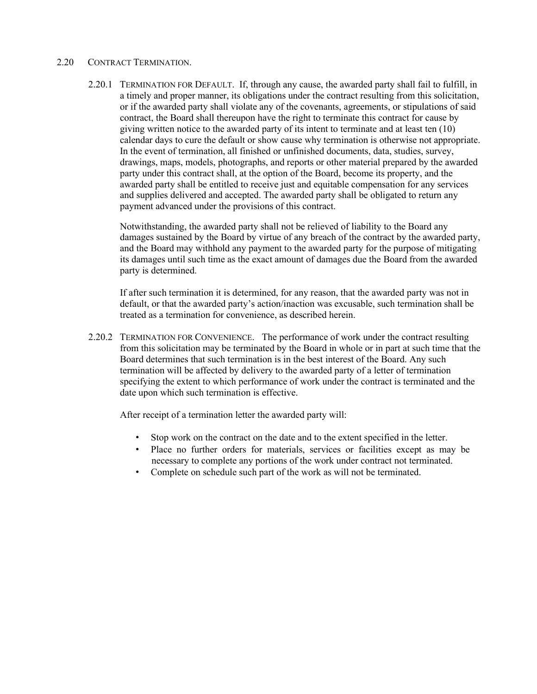#### 2.20 CONTRACT TERMINATION.

2.20.1 TERMINATION FOR DEFAULT. If, through any cause, the awarded party shall fail to fulfill, in a timely and proper manner, its obligations under the contract resulting from this solicitation, or if the awarded party shall violate any of the covenants, agreements, or stipulations of said contract, the Board shall thereupon have the right to terminate this contract for cause by giving written notice to the awarded party of its intent to terminate and at least ten (10) calendar days to cure the default or show cause why termination is otherwise not appropriate. In the event of termination, all finished or unfinished documents, data, studies, survey, drawings, maps, models, photographs, and reports or other material prepared by the awarded party under this contract shall, at the option of the Board, become its property, and the awarded party shall be entitled to receive just and equitable compensation for any services and supplies delivered and accepted. The awarded party shall be obligated to return any payment advanced under the provisions of this contract.

Notwithstanding, the awarded party shall not be relieved of liability to the Board any damages sustained by the Board by virtue of any breach of the contract by the awarded party, and the Board may withhold any payment to the awarded party for the purpose of mitigating its damages until such time as the exact amount of damages due the Board from the awarded party is determined.

If after such termination it is determined, for any reason, that the awarded party was not in default, or that the awarded party's action/inaction was excusable, such termination shall be treated as a termination for convenience, as described herein.

2.20.2 TERMINATION FOR CONVENIENCE. The performance of work under the contract resulting from this solicitation may be terminated by the Board in whole or in part at such time that the Board determines that such termination is in the best interest of the Board. Any such termination will be affected by delivery to the awarded party of a letter of termination specifying the extent to which performance of work under the contract is terminated and the date upon which such termination is effective.

After receipt of a termination letter the awarded party will:

- Stop work on the contract on the date and to the extent specified in the letter.
- Place no further orders for materials, services or facilities except as may be necessary to complete any portions of the work under contract not terminated.
- Complete on schedule such part of the work as will not be terminated.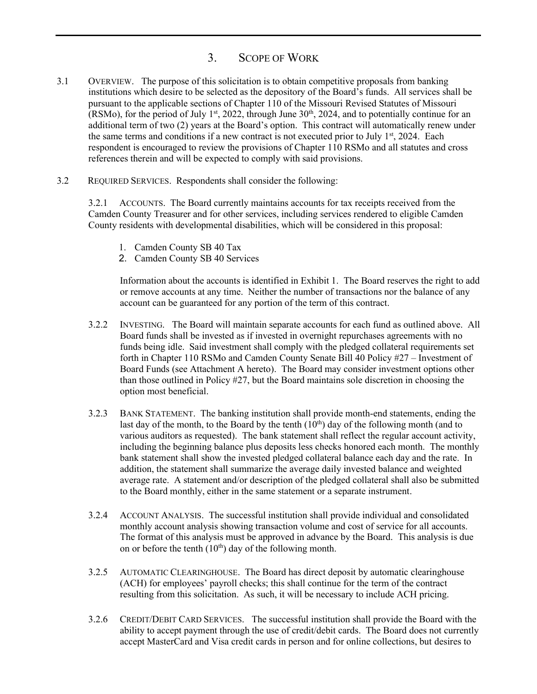## 3. SCOPE OF WORK

- 3.1 OVERVIEW. The purpose of this solicitation is to obtain competitive proposals from banking institutions which desire to be selected as the depository of the Board's funds. All services shall be pursuant to the applicable sections of Chapter 110 of the Missouri Revised Statutes of Missouri (RSMo), for the period of July 1<sup>st</sup>, 2022, through June  $30<sup>th</sup>$ , 2024, and to potentially continue for an additional term of two (2) years at the Board's option. This contract will automatically renew under the same terms and conditions if a new contract is not executed prior to July  $1^{st}$ , 2024. Each respondent is encouraged to review the provisions of Chapter 110 RSMo and all statutes and cross references therein and will be expected to comply with said provisions.
- 3.2 REQUIRED SERVICES. Respondents shall consider the following:

3.2.1 ACCOUNTS. The Board currently maintains accounts for tax receipts received from the Camden County Treasurer and for other services, including services rendered to eligible Camden County residents with developmental disabilities, which will be considered in this proposal:

- 1. Camden County SB 40 Tax
- 2. Camden County SB 40 Services

Information about the accounts is identified in Exhibit 1. The Board reserves the right to add or remove accounts at any time. Neither the number of transactions nor the balance of any account can be guaranteed for any portion of the term of this contract.

- 3.2.2 INVESTING. The Board will maintain separate accounts for each fund as outlined above. All Board funds shall be invested as if invested in overnight repurchases agreements with no funds being idle. Said investment shall comply with the pledged collateral requirements set forth in Chapter 110 RSMo and Camden County Senate Bill 40 Policy #27 – Investment of Board Funds (see Attachment A hereto). The Board may consider investment options other than those outlined in Policy #27, but the Board maintains sole discretion in choosing the option most beneficial.
- 3.2.3 BANK STATEMENT. The banking institution shall provide month-end statements, ending the last day of the month, to the Board by the tenth  $(10<sup>th</sup>)$  day of the following month (and to various auditors as requested). The bank statement shall reflect the regular account activity, including the beginning balance plus deposits less checks honored each month. The monthly bank statement shall show the invested pledged collateral balance each day and the rate. In addition, the statement shall summarize the average daily invested balance and weighted average rate. A statement and/or description of the pledged collateral shall also be submitted to the Board monthly, either in the same statement or a separate instrument.
- 3.2.4 ACCOUNT ANALYSIS. The successful institution shall provide individual and consolidated monthly account analysis showing transaction volume and cost of service for all accounts. The format of this analysis must be approved in advance by the Board. This analysis is due on or before the tenth  $(10<sup>th</sup>)$  day of the following month.
- 3.2.5 AUTOMATIC CLEARINGHOUSE. The Board has direct deposit by automatic clearinghouse (ACH) for employees' payroll checks; this shall continue for the term of the contract resulting from this solicitation. As such, it will be necessary to include ACH pricing.
- 3.2.6 CREDIT/DEBIT CARD SERVICES. The successful institution shall provide the Board with the ability to accept payment through the use of credit/debit cards. The Board does not currently accept MasterCard and Visa credit cards in person and for online collections, but desires to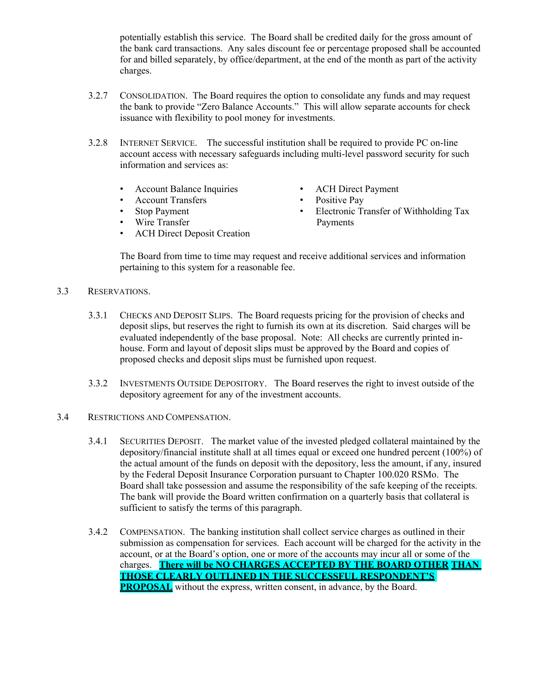potentially establish this service. The Board shall be credited daily for the gross amount of the bank card transactions. Any sales discount fee or percentage proposed shall be accounted for and billed separately, by office/department, at the end of the month as part of the activity charges.

- 3.2.7 CONSOLIDATION. The Board requires the option to consolidate any funds and may request the bank to provide "Zero Balance Accounts." This will allow separate accounts for check issuance with flexibility to pool money for investments.
- 3.2.8 INTERNET SERVICE. The successful institution shall be required to provide PC on-line account access with necessary safeguards including multi-level password security for such information and services as:
	- Account Balance Inquiries
	- Account Transfers
	- Stop Payment
	- Wire Transfer
	- ACH Direct Deposit Creation
- ACH Direct Payment
- Positive Pay
- Electronic Transfer of Withholding Tax Payments

The Board from time to time may request and receive additional services and information pertaining to this system for a reasonable fee.

- 3.3 RESERVATIONS.
	- 3.3.1 CHECKS AND DEPOSIT SLIPS. The Board requests pricing for the provision of checks and deposit slips, but reserves the right to furnish its own at its discretion. Said charges will be evaluated independently of the base proposal. Note: All checks are currently printed inhouse. Form and layout of deposit slips must be approved by the Board and copies of proposed checks and deposit slips must be furnished upon request.
	- 3.3.2 INVESTMENTS OUTSIDE DEPOSITORY. The Board reserves the right to invest outside of the depository agreement for any of the investment accounts.
- 3.4 RESTRICTIONS AND COMPENSATION.
	- 3.4.1 SECURITIES DEPOSIT. The market value of the invested pledged collateral maintained by the depository/financial institute shall at all times equal or exceed one hundred percent (100%) of the actual amount of the funds on deposit with the depository, less the amount, if any, insured by the Federal Deposit Insurance Corporation pursuant to Chapter 100.020 RSMo. The Board shall take possession and assume the responsibility of the safe keeping of the receipts. The bank will provide the Board written confirmation on a quarterly basis that collateral is sufficient to satisfy the terms of this paragraph.
	- 3.4.2 COMPENSATION. The banking institution shall collect service charges as outlined in their submission as compensation for services. Each account will be charged for the activity in the account, or at the Board's option, one or more of the accounts may incur all or some of the charges. **There will be NO CHARGES ACCEPTED BY THE BOARD OTHER THAN THOSE CLEARLY OUTLINED IN THE SUCCESSFUL RESPONDENT'S PROPOSAL** without the express, written consent, in advance, by the Board.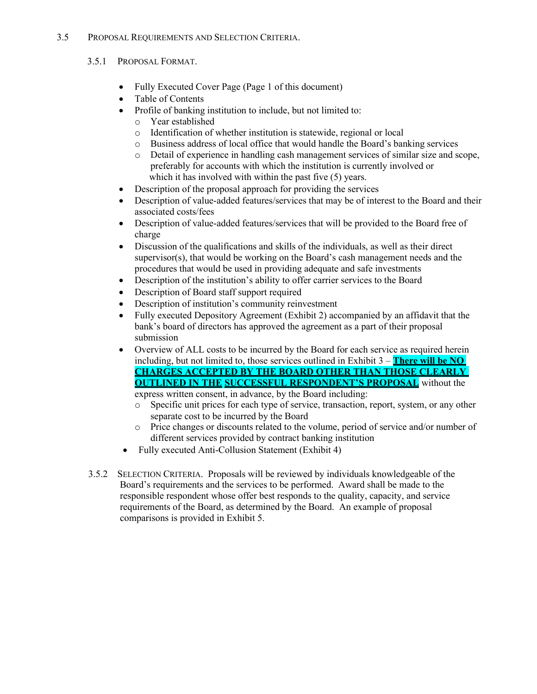#### 3.5 PROPOSAL REQUIREMENTS AND SELECTION CRITERIA.

#### 3.5.1 PROPOSAL FORMAT.

- Fully Executed Cover Page (Page 1 of this document)
- Table of Contents
- Profile of banking institution to include, but not limited to:
	- o Year established
	- o Identification of whether institution is statewide, regional or local
	- o Business address of local office that would handle the Board's banking services
	- o Detail of experience in handling cash management services of similar size and scope, preferably for accounts with which the institution is currently involved or which it has involved with within the past five (5) years.
- Description of the proposal approach for providing the services
- Description of value-added features/services that may be of interest to the Board and their associated costs/fees
- Description of value-added features/services that will be provided to the Board free of charge
- Discussion of the qualifications and skills of the individuals, as well as their direct supervisor(s), that would be working on the Board's cash management needs and the procedures that would be used in providing adequate and safe investments
- Description of the institution's ability to offer carrier services to the Board
- Description of Board staff support required
- Description of institution's community reinvestment
- Fully executed Depository Agreement (Exhibit 2) accompanied by an affidavit that the bank's board of directors has approved the agreement as a part of their proposal submission
- Overview of ALL costs to be incurred by the Board for each service as required herein including, but not limited to, those services outlined in Exhibit  $3 -$ **There will be NO CHARGES ACCEPTED BY THE BOARD OTHER THAN THOSE CLEARLY OUTLINED IN THE SUCCESSFUL RESPONDENT'S PROPOSAL** without the express written consent, in advance, by the Board including:
	- o Specific unit prices for each type of service, transaction, report, system, or any other separate cost to be incurred by the Board
	- o Price changes or discounts related to the volume, period of service and/or number of different services provided by contract banking institution
- Fully executed Anti-Collusion Statement (Exhibit 4)
- 3.5.2 SELECTION CRITERIA. Proposals will be reviewed by individuals knowledgeable of the Board's requirements and the services to be performed. Award shall be made to the responsible respondent whose offer best responds to the quality, capacity, and service requirements of the Board, as determined by the Board. An example of proposal comparisons is provided in Exhibit 5.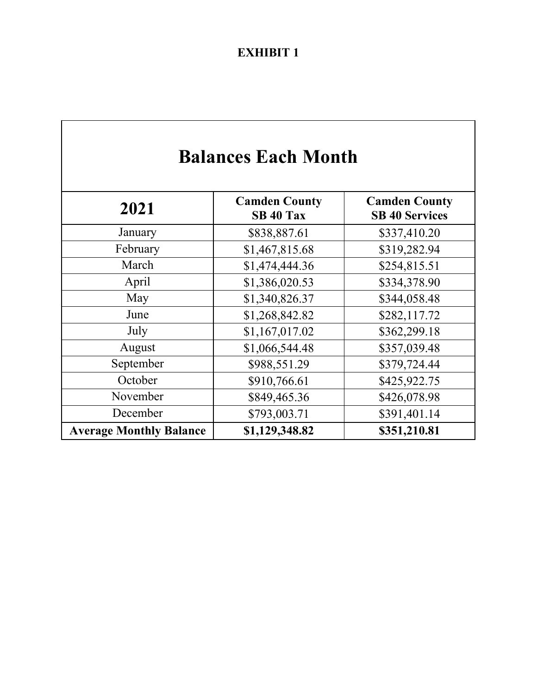## **EXHIBIT 1**

# **Balances Each Month**

| 2021                           | <b>Camden County</b><br>SB 40 Tax | <b>Camden County</b><br><b>SB 40 Services</b> |
|--------------------------------|-----------------------------------|-----------------------------------------------|
| January                        | \$838,887.61                      | \$337,410.20                                  |
| February                       | \$1,467,815.68                    | \$319,282.94                                  |
| March                          | \$1,474,444.36                    | \$254,815.51                                  |
| April                          | \$1,386,020.53                    | \$334,378.90                                  |
| May                            | \$1,340,826.37                    | \$344,058.48                                  |
| June                           | \$1,268,842.82                    | \$282,117.72                                  |
| July                           | \$1,167,017.02                    | \$362,299.18                                  |
| August                         | \$1,066,544.48                    | \$357,039.48                                  |
| September                      | \$988,551.29                      | \$379,724.44                                  |
| October                        | \$910,766.61                      | \$425,922.75                                  |
| November                       | \$849,465.36                      | \$426,078.98                                  |
| December                       | \$793,003.71                      | \$391,401.14                                  |
| <b>Average Monthly Balance</b> | \$1,129,348.82                    | \$351,210.81                                  |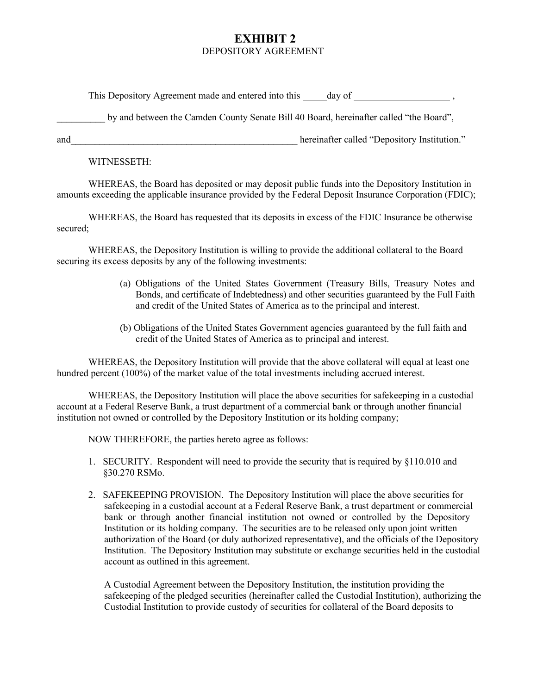### **EXHIBIT 2** DEPOSITORY AGREEMENT

This Depository Agreement made and entered into this day of , and  $\frac{1}{2}$ ,

by and between the Camden County Senate Bill 40 Board, hereinafter called "the Board",

and and the contract of the contract of the equation of the equation of the equation of the equation."

WITNESSETH:

WHEREAS, the Board has deposited or may deposit public funds into the Depository Institution in amounts exceeding the applicable insurance provided by the Federal Deposit Insurance Corporation (FDIC);

WHEREAS, the Board has requested that its deposits in excess of the FDIC Insurance be otherwise secured;

WHEREAS, the Depository Institution is willing to provide the additional collateral to the Board securing its excess deposits by any of the following investments:

- (a) Obligations of the United States Government (Treasury Bills, Treasury Notes and Bonds, and certificate of Indebtedness) and other securities guaranteed by the Full Faith and credit of the United States of America as to the principal and interest.
- (b) Obligations of the United States Government agencies guaranteed by the full faith and credit of the United States of America as to principal and interest.

WHEREAS, the Depository Institution will provide that the above collateral will equal at least one hundred percent (100%) of the market value of the total investments including accrued interest.

WHEREAS, the Depository Institution will place the above securities for safekeeping in a custodial account at a Federal Reserve Bank, a trust department of a commercial bank or through another financial institution not owned or controlled by the Depository Institution or its holding company;

NOW THEREFORE, the parties hereto agree as follows:

- 1. SECURITY. Respondent will need to provide the security that is required by §110.010 and §30.270 RSMo.
- 2. SAFEKEEPING PROVISION. The Depository Institution will place the above securities for safekeeping in a custodial account at a Federal Reserve Bank, a trust department or commercial bank or through another financial institution not owned or controlled by the Depository Institution or its holding company. The securities are to be released only upon joint written authorization of the Board (or duly authorized representative), and the officials of the Depository Institution. The Depository Institution may substitute or exchange securities held in the custodial account as outlined in this agreement.

A Custodial Agreement between the Depository Institution, the institution providing the safekeeping of the pledged securities (hereinafter called the Custodial Institution), authorizing the Custodial Institution to provide custody of securities for collateral of the Board deposits to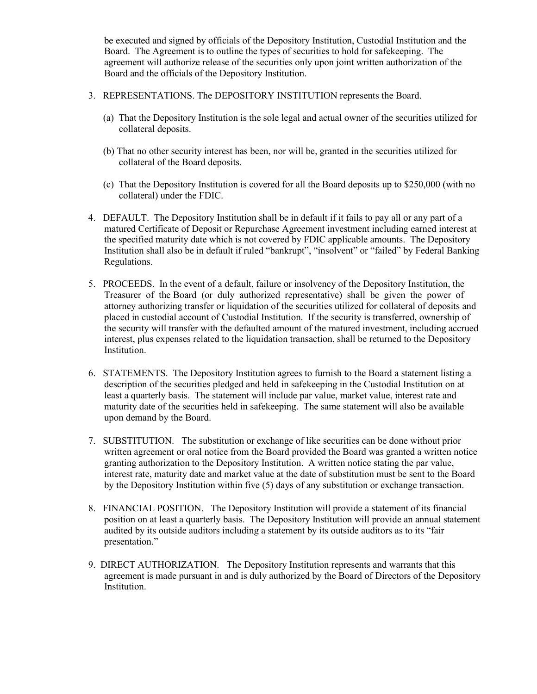be executed and signed by officials of the Depository Institution, Custodial Institution and the Board. The Agreement is to outline the types of securities to hold for safekeeping. The agreement will authorize release of the securities only upon joint written authorization of the Board and the officials of the Depository Institution.

- 3. REPRESENTATIONS. The DEPOSITORY INSTITUTION represents the Board.
	- (a) That the Depository Institution is the sole legal and actual owner of the securities utilized for collateral deposits.
	- (b) That no other security interest has been, nor will be, granted in the securities utilized for collateral of the Board deposits.
	- (c) That the Depository Institution is covered for all the Board deposits up to \$250,000 (with no collateral) under the FDIC.
- 4. DEFAULT. The Depository Institution shall be in default if it fails to pay all or any part of a matured Certificate of Deposit or Repurchase Agreement investment including earned interest at the specified maturity date which is not covered by FDIC applicable amounts. The Depository Institution shall also be in default if ruled "bankrupt", "insolvent" or "failed" by Federal Banking Regulations.
- 5. PROCEEDS. In the event of a default, failure or insolvency of the Depository Institution, the Treasurer of the Board (or duly authorized representative) shall be given the power of attorney authorizing transfer or liquidation of the securities utilized for collateral of deposits and placed in custodial account of Custodial Institution. If the security is transferred, ownership of the security will transfer with the defaulted amount of the matured investment, including accrued interest, plus expenses related to the liquidation transaction, shall be returned to the Depository Institution.
- 6. STATEMENTS. The Depository Institution agrees to furnish to the Board a statement listing a description of the securities pledged and held in safekeeping in the Custodial Institution on at least a quarterly basis. The statement will include par value, market value, interest rate and maturity date of the securities held in safekeeping. The same statement will also be available upon demand by the Board.
- 7. SUBSTITUTION. The substitution or exchange of like securities can be done without prior written agreement or oral notice from the Board provided the Board was granted a written notice granting authorization to the Depository Institution. A written notice stating the par value, interest rate, maturity date and market value at the date of substitution must be sent to the Board by the Depository Institution within five (5) days of any substitution or exchange transaction.
- 8. FINANCIAL POSITION. The Depository Institution will provide a statement of its financial position on at least a quarterly basis. The Depository Institution will provide an annual statement audited by its outside auditors including a statement by its outside auditors as to its "fair presentation."
- 9. DIRECT AUTHORIZATION. The Depository Institution represents and warrants that this agreement is made pursuant in and is duly authorized by the Board of Directors of the Depository Institution.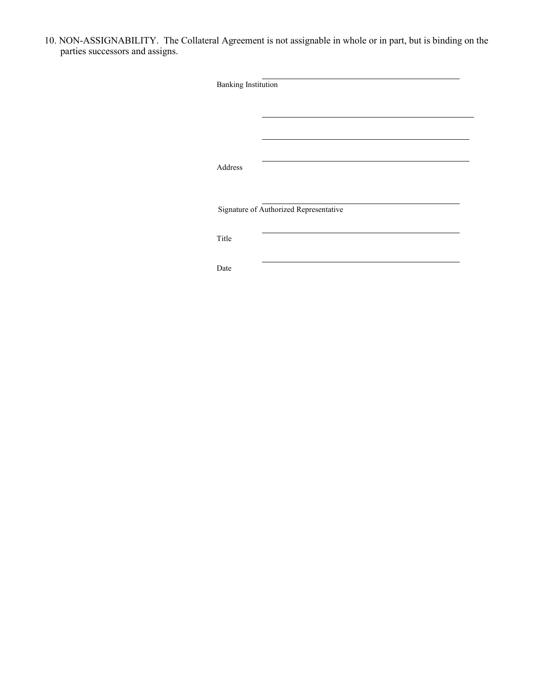10. NON-ASSIGNABILITY. The Collateral Agreement is not assignable in whole or in part, but is binding on the parties successors and assigns.

|  | Signature of Authorized Representative |  |
|--|----------------------------------------|--|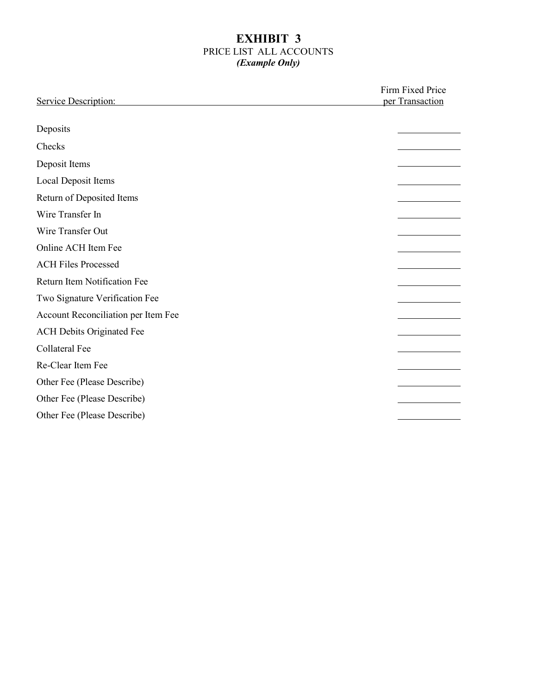#### **EXHIBIT 3** PRICE LIST ALL ACCOUNTS *(Example Only)*

| Service Description:                | Firm Fixed Price<br>per Transaction |  |
|-------------------------------------|-------------------------------------|--|
| Deposits                            |                                     |  |
| Checks                              |                                     |  |
| Deposit Items                       |                                     |  |
| Local Deposit Items                 |                                     |  |
| Return of Deposited Items           |                                     |  |
| Wire Transfer In                    |                                     |  |
| Wire Transfer Out                   |                                     |  |
| Online ACH Item Fee                 |                                     |  |
| <b>ACH Files Processed</b>          |                                     |  |
| Return Item Notification Fee        |                                     |  |
| Two Signature Verification Fee      |                                     |  |
| Account Reconciliation per Item Fee |                                     |  |
| <b>ACH Debits Originated Fee</b>    |                                     |  |
| <b>Collateral Fee</b>               |                                     |  |
| Re-Clear Item Fee                   |                                     |  |
| Other Fee (Please Describe)         |                                     |  |
| Other Fee (Please Describe)         |                                     |  |
| Other Fee (Please Describe)         |                                     |  |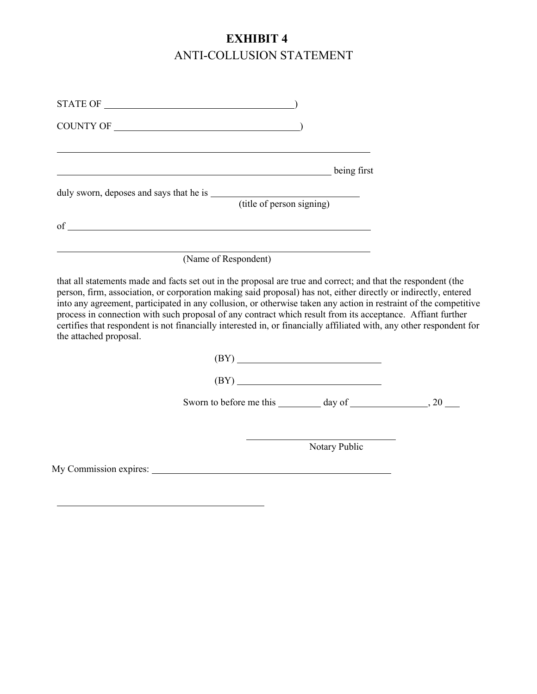## **EXHIBIT 4** ANTI-COLLUSION STATEMENT

| being first                                                                                                                                                                                                                                                                                                                                                                                                                                                                                                                                                                                                          |               |  |
|----------------------------------------------------------------------------------------------------------------------------------------------------------------------------------------------------------------------------------------------------------------------------------------------------------------------------------------------------------------------------------------------------------------------------------------------------------------------------------------------------------------------------------------------------------------------------------------------------------------------|---------------|--|
|                                                                                                                                                                                                                                                                                                                                                                                                                                                                                                                                                                                                                      |               |  |
|                                                                                                                                                                                                                                                                                                                                                                                                                                                                                                                                                                                                                      |               |  |
| (Name of Respondent)                                                                                                                                                                                                                                                                                                                                                                                                                                                                                                                                                                                                 |               |  |
| that all statements made and facts set out in the proposal are true and correct; and that the respondent (the<br>person, firm, association, or corporation making said proposal) has not, either directly or indirectly, entered<br>into any agreement, participated in any collusion, or otherwise taken any action in restraint of the competitive<br>process in connection with such proposal of any contract which result from its acceptance. Affiant further<br>certifies that respondent is not financially interested in, or financially affiliated with, any other respondent for<br>the attached proposal. |               |  |
| (BY)                                                                                                                                                                                                                                                                                                                                                                                                                                                                                                                                                                                                                 |               |  |
| (BY)                                                                                                                                                                                                                                                                                                                                                                                                                                                                                                                                                                                                                 |               |  |
|                                                                                                                                                                                                                                                                                                                                                                                                                                                                                                                                                                                                                      |               |  |
|                                                                                                                                                                                                                                                                                                                                                                                                                                                                                                                                                                                                                      | Notary Public |  |
|                                                                                                                                                                                                                                                                                                                                                                                                                                                                                                                                                                                                                      |               |  |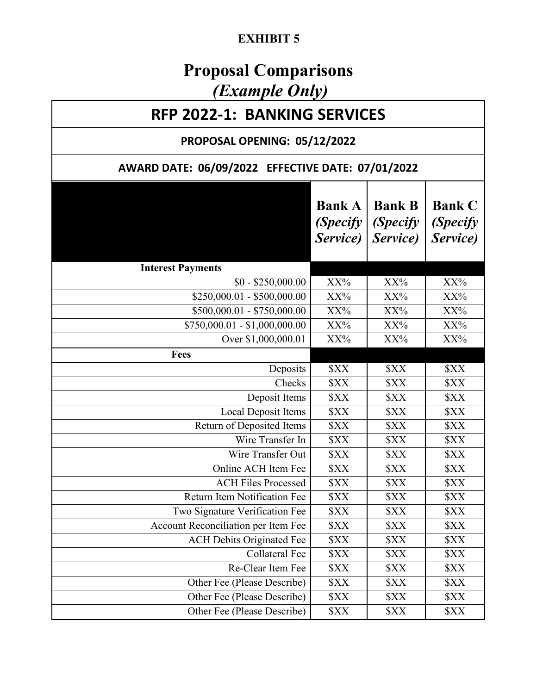## **EXHIBIT 5**

# **Proposal Comparisons** *(Example Only)*

## **RFP 2022-1: BANKING SERVICES**

## **PROPOSAL OPENING: 05/12/2022**

## **AWARD DATE: 06/09/2022 EFFECTIVE DATE: 07/01/2022**

|                                     | <b>Bank A</b><br><i>(Specify</i><br>Service) | <b>Bank B</b><br><i>(Specify</i><br>Service) | <b>Bank C</b><br><i>(Specify</i><br>Service) |
|-------------------------------------|----------------------------------------------|----------------------------------------------|----------------------------------------------|
| <b>Interest Payments</b>            |                                              |                                              |                                              |
| $$0 - $250,000.00$                  | XX%                                          | XX%                                          | XX%                                          |
| $$250,000.01 - $500,000.00$         | $XX\%$                                       | XX%                                          | XX%                                          |
| $$500,000.01 - $750,000.00$         | XX%                                          | XX%                                          | XX%                                          |
| $$750,000.01 - $1,000,000.00$       | $XX\%$                                       | XX%                                          | $XX\%$                                       |
| Over \$1,000,000.01                 | XX%                                          | XX%                                          | $XX\%$                                       |
| Fees                                |                                              |                                              |                                              |
| Deposits                            | \$XX                                         | \$XX                                         | \$XX                                         |
| Checks                              | \$XX                                         | <b>\$XX</b>                                  | <b>\$XX</b>                                  |
| Deposit Items                       | <b>\$XX</b>                                  | \$XX                                         | \$XX                                         |
| Local Deposit Items                 | \$XX                                         | \$XX                                         | \$XX                                         |
| Return of Deposited Items           | \$XX                                         | \$XX                                         | \$XX                                         |
| Wire Transfer In                    | \$XX                                         | \$XX                                         | \$XX                                         |
| Wire Transfer Out                   | \$XX                                         | <b>\$XX</b>                                  | \$XX                                         |
| Online ACH Item Fee                 | <b>\$XX</b>                                  | \$XX                                         | \$XX                                         |
| <b>ACH Files Processed</b>          | \$XX                                         | \$XX                                         | \$XX                                         |
| Return Item Notification Fee        | <b>\$XX</b>                                  | \$XX                                         | \$XX                                         |
| Two Signature Verification Fee      | \$XX                                         | \$XX                                         | \$XX                                         |
| Account Reconciliation per Item Fee | \$XX                                         | \$XX                                         | \$XX                                         |
| <b>ACH Debits Originated Fee</b>    | \$XX                                         | \$XX                                         | \$XX                                         |
| Collateral Fee                      | <b>\$XX</b>                                  | \$XX                                         | <b>\$XX</b>                                  |
| Re-Clear Item Fee                   | \$XX                                         | \$XX                                         | \$XX                                         |
| Other Fee (Please Describe)         | \$XX                                         | \$XX                                         | \$XX                                         |
| Other Fee (Please Describe)         | \$XX                                         | \$XX                                         | \$XX                                         |
| Other Fee (Please Describe)         | <b>\$XX</b>                                  | \$XX                                         | \$XX                                         |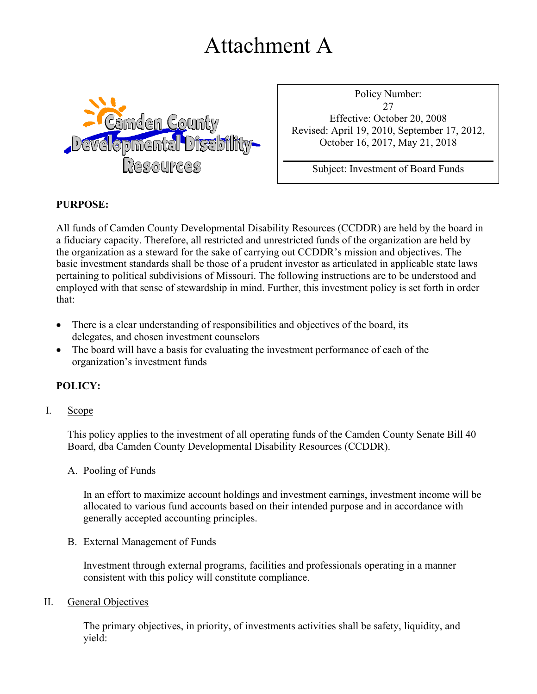# Attachment A



Policy Number: 27 Effective: October 20, 2008 Revised: April 19, 2010, September 17, 2012, October 16, 2017, May 21, 2018

Subject: Investment of Board Funds

### **PURPOSE:**

All funds of Camden County Developmental Disability Resources (CCDDR) are held by the board in a fiduciary capacity. Therefore, all restricted and unrestricted funds of the organization are held by the organization as a steward for the sake of carrying out CCDDR's mission and objectives. The basic investment standards shall be those of a prudent investor as articulated in applicable state laws pertaining to political subdivisions of Missouri. The following instructions are to be understood and employed with that sense of stewardship in mind. Further, this investment policy is set forth in order that:

- There is a clear understanding of responsibilities and objectives of the board, its delegates, and chosen investment counselors
- The board will have a basis for evaluating the investment performance of each of the organization's investment funds

#### **POLICY:**

#### I. Scope

This policy applies to the investment of all operating funds of the Camden County Senate Bill 40 Board, dba Camden County Developmental Disability Resources (CCDDR).

#### A. Pooling of Funds

In an effort to maximize account holdings and investment earnings, investment income will be allocated to various fund accounts based on their intended purpose and in accordance with generally accepted accounting principles.

B. External Management of Funds

Investment through external programs, facilities and professionals operating in a manner consistent with this policy will constitute compliance.

#### II. General Objectives

The primary objectives, in priority, of investments activities shall be safety, liquidity, and yield: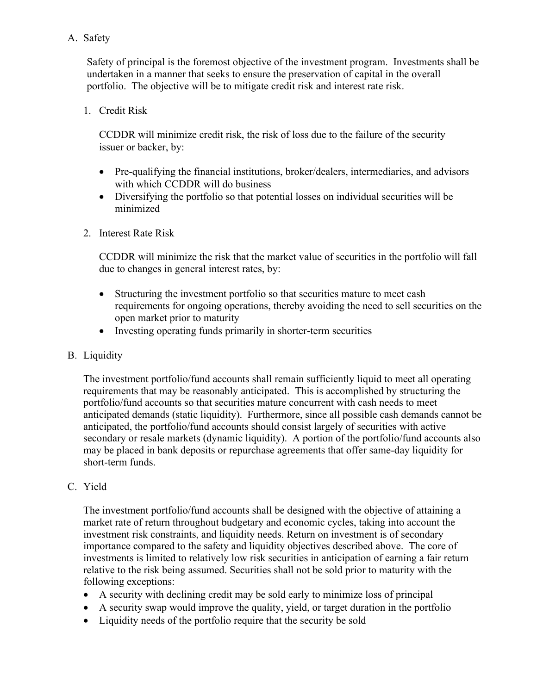### A. Safety

Safety of principal is the foremost objective of the investment program. Investments shall be undertaken in a manner that seeks to ensure the preservation of capital in the overall portfolio. The objective will be to mitigate credit risk and interest rate risk.

1. Credit Risk

CCDDR will minimize credit risk, the risk of loss due to the failure of the security issuer or backer, by:

- Pre-qualifying the financial institutions, broker/dealers, intermediaries, and advisors with which CCDDR will do business
- Diversifying the portfolio so that potential losses on individual securities will be minimized
- 2. Interest Rate Risk

CCDDR will minimize the risk that the market value of securities in the portfolio will fall due to changes in general interest rates, by:

- Structuring the investment portfolio so that securities mature to meet cash requirements for ongoing operations, thereby avoiding the need to sell securities on the open market prior to maturity
- Investing operating funds primarily in shorter-term securities
- B. Liquidity

The investment portfolio/fund accounts shall remain sufficiently liquid to meet all operating requirements that may be reasonably anticipated. This is accomplished by structuring the portfolio/fund accounts so that securities mature concurrent with cash needs to meet anticipated demands (static liquidity). Furthermore, since all possible cash demands cannot be anticipated, the portfolio/fund accounts should consist largely of securities with active secondary or resale markets (dynamic liquidity). A portion of the portfolio/fund accounts also may be placed in bank deposits or repurchase agreements that offer same-day liquidity for short-term funds.

#### C. Yield

The investment portfolio/fund accounts shall be designed with the objective of attaining a market rate of return throughout budgetary and economic cycles, taking into account the investment risk constraints, and liquidity needs. Return on investment is of secondary importance compared to the safety and liquidity objectives described above. The core of investments is limited to relatively low risk securities in anticipation of earning a fair return relative to the risk being assumed. Securities shall not be sold prior to maturity with the following exceptions:

- A security with declining credit may be sold early to minimize loss of principal
- A security swap would improve the quality, yield, or target duration in the portfolio
- Liquidity needs of the portfolio require that the security be sold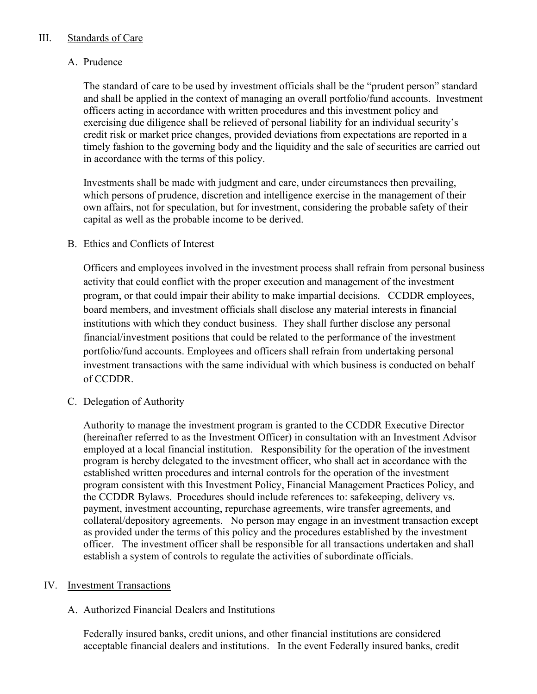#### III. Standards of Care

### A. Prudence

The standard of care to be used by investment officials shall be the "prudent person" standard and shall be applied in the context of managing an overall portfolio/fund accounts. Investment officers acting in accordance with written procedures and this investment policy and exercising due diligence shall be relieved of personal liability for an individual security's credit risk or market price changes, provided deviations from expectations are reported in a timely fashion to the governing body and the liquidity and the sale of securities are carried out in accordance with the terms of this policy.

Investments shall be made with judgment and care, under circumstances then prevailing, which persons of prudence, discretion and intelligence exercise in the management of their own affairs, not for speculation, but for investment, considering the probable safety of their capital as well as the probable income to be derived.

#### B. Ethics and Conflicts of Interest

Officers and employees involved in the investment process shall refrain from personal business activity that could conflict with the proper execution and management of the investment program, or that could impair their ability to make impartial decisions. CCDDR employees, board members, and investment officials shall disclose any material interests in financial institutions with which they conduct business. They shall further disclose any personal financial/investment positions that could be related to the performance of the investment portfolio/fund accounts. Employees and officers shall refrain from undertaking personal investment transactions with the same individual with which business is conducted on behalf of CCDDR.

C. Delegation of Authority

Authority to manage the investment program is granted to the CCDDR Executive Director (hereinafter referred to as the Investment Officer) in consultation with an Investment Advisor employed at a local financial institution. Responsibility for the operation of the investment program is hereby delegated to the investment officer, who shall act in accordance with the established written procedures and internal controls for the operation of the investment program consistent with this Investment Policy, Financial Management Practices Policy, and the CCDDR Bylaws. Procedures should include references to: safekeeping, delivery vs. payment, investment accounting, repurchase agreements, wire transfer agreements, and collateral/depository agreements. No person may engage in an investment transaction except as provided under the terms of this policy and the procedures established by the investment officer. The investment officer shall be responsible for all transactions undertaken and shall establish a system of controls to regulate the activities of subordinate officials.

#### IV. Investment Transactions

#### A. Authorized Financial Dealers and Institutions

Federally insured banks, credit unions, and other financial institutions are considered acceptable financial dealers and institutions. In the event Federally insured banks, credit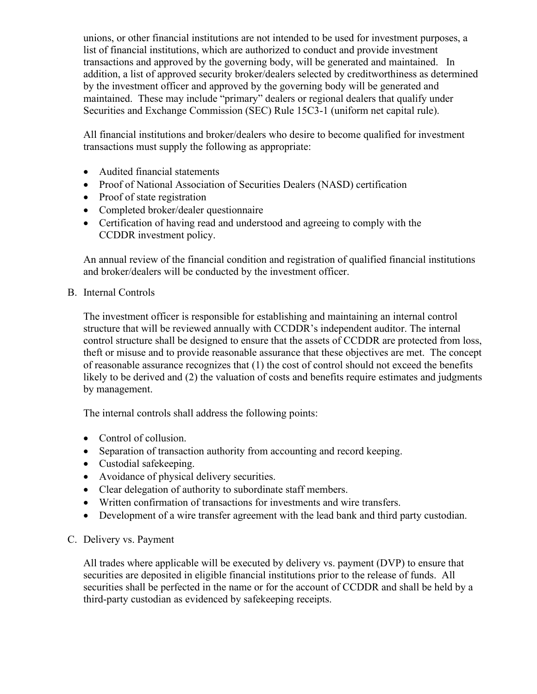unions, or other financial institutions are not intended to be used for investment purposes, a list of financial institutions, which are authorized to conduct and provide investment transactions and approved by the governing body, will be generated and maintained. In addition, a list of approved security broker/dealers selected by creditworthiness as determined by the investment officer and approved by the governing body will be generated and maintained. These may include "primary" dealers or regional dealers that qualify under Securities and Exchange Commission (SEC) Rule 15C3-1 (uniform net capital rule).

All financial institutions and broker/dealers who desire to become qualified for investment transactions must supply the following as appropriate:

- Audited financial statements
- Proof of National Association of Securities Dealers (NASD) certification
- Proof of state registration
- Completed broker/dealer questionnaire
- Certification of having read and understood and agreeing to comply with the CCDDR investment policy.

An annual review of the financial condition and registration of qualified financial institutions and broker/dealers will be conducted by the investment officer.

B. Internal Controls

The investment officer is responsible for establishing and maintaining an internal control structure that will be reviewed annually with CCDDR's independent auditor. The internal control structure shall be designed to ensure that the assets of CCDDR are protected from loss, theft or misuse and to provide reasonable assurance that these objectives are met. The concept of reasonable assurance recognizes that (1) the cost of control should not exceed the benefits likely to be derived and (2) the valuation of costs and benefits require estimates and judgments by management.

The internal controls shall address the following points:

- Control of collusion.
- Separation of transaction authority from accounting and record keeping.
- Custodial safekeeping.
- Avoidance of physical delivery securities.
- Clear delegation of authority to subordinate staff members.
- Written confirmation of transactions for investments and wire transfers.
- Development of a wire transfer agreement with the lead bank and third party custodian.

#### C. Delivery vs. Payment

All trades where applicable will be executed by delivery vs. payment (DVP) to ensure that securities are deposited in eligible financial institutions prior to the release of funds. All securities shall be perfected in the name or for the account of CCDDR and shall be held by a third-party custodian as evidenced by safekeeping receipts.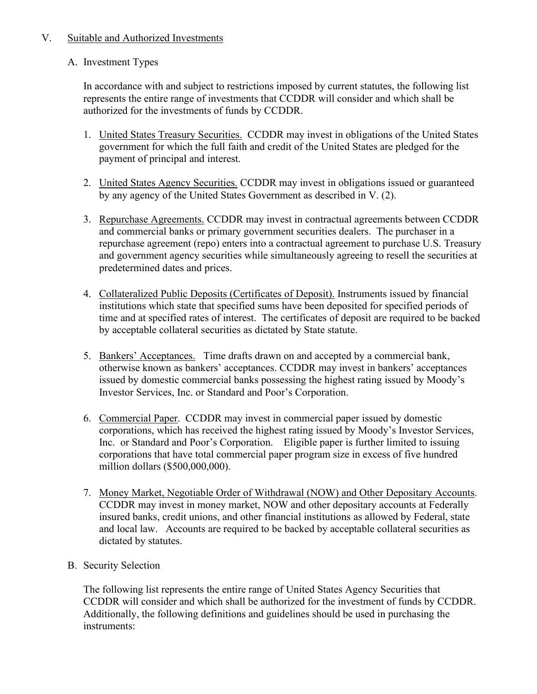#### V. Suitable and Authorized Investments

### A. Investment Types

In accordance with and subject to restrictions imposed by current statutes, the following list represents the entire range of investments that CCDDR will consider and which shall be authorized for the investments of funds by CCDDR.

- 1. United States Treasury Securities. CCDDR may invest in obligations of the United States government for which the full faith and credit of the United States are pledged for the payment of principal and interest.
- 2. United States Agency Securities. CCDDR may invest in obligations issued or guaranteed by any agency of the United States Government as described in V. (2).
- 3. Repurchase Agreements. CCDDR may invest in contractual agreements between CCDDR and commercial banks or primary government securities dealers. The purchaser in a repurchase agreement (repo) enters into a contractual agreement to purchase U.S. Treasury and government agency securities while simultaneously agreeing to resell the securities at predetermined dates and prices.
- 4. Collateralized Public Deposits (Certificates of Deposit). Instruments issued by financial institutions which state that specified sums have been deposited for specified periods of time and at specified rates of interest. The certificates of deposit are required to be backed by acceptable collateral securities as dictated by State statute.
- 5. Bankers' Acceptances. Time drafts drawn on and accepted by a commercial bank, otherwise known as bankers' acceptances. CCDDR may invest in bankers' acceptances issued by domestic commercial banks possessing the highest rating issued by Moody's Investor Services, Inc. or Standard and Poor's Corporation.
- 6. Commercial Paper. CCDDR may invest in commercial paper issued by domestic corporations, which has received the highest rating issued by Moody's Investor Services, Inc. or Standard and Poor's Corporation. Eligible paper is further limited to issuing corporations that have total commercial paper program size in excess of five hundred million dollars (\$500,000,000).
- 7. Money Market, Negotiable Order of Withdrawal (NOW) and Other Depositary Accounts. CCDDR may invest in money market, NOW and other depositary accounts at Federally insured banks, credit unions, and other financial institutions as allowed by Federal, state and local law. Accounts are required to be backed by acceptable collateral securities as dictated by statutes.

## B. Security Selection

The following list represents the entire range of United States Agency Securities that CCDDR will consider and which shall be authorized for the investment of funds by CCDDR. Additionally, the following definitions and guidelines should be used in purchasing the instruments: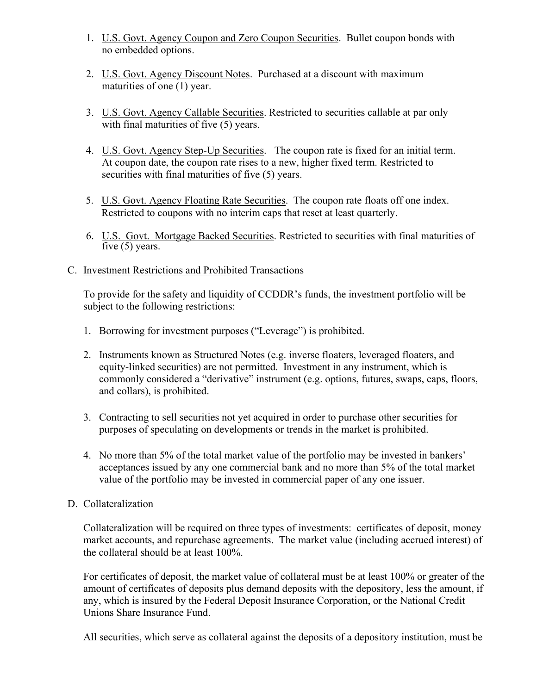- 1. U.S. Govt. Agency Coupon and Zero Coupon Securities. Bullet coupon bonds with no embedded options.
- 2. U.S. Govt. Agency Discount Notes. Purchased at a discount with maximum maturities of one (1) year.
- 3. U.S. Govt. Agency Callable Securities. Restricted to securities callable at par only with final maturities of five (5) years.
- 4. U.S. Govt. Agency Step-Up Securities. The coupon rate is fixed for an initial term. At coupon date, the coupon rate rises to a new, higher fixed term. Restricted to securities with final maturities of five (5) years.
- 5. U.S. Govt. Agency Floating Rate Securities. The coupon rate floats off one index. Restricted to coupons with no interim caps that reset at least quarterly.
- 6. U.S. Govt. Mortgage Backed Securities. Restricted to securities with final maturities of five  $(5)$  years.
- C. Investment Restrictions and Prohibited Transactions

To provide for the safety and liquidity of CCDDR's funds, the investment portfolio will be subject to the following restrictions:

- 1. Borrowing for investment purposes ("Leverage") is prohibited.
- 2. Instruments known as Structured Notes (e.g. inverse floaters, leveraged floaters, and equity-linked securities) are not permitted. Investment in any instrument, which is commonly considered a "derivative" instrument (e.g. options, futures, swaps, caps, floors, and collars), is prohibited.
- 3. Contracting to sell securities not yet acquired in order to purchase other securities for purposes of speculating on developments or trends in the market is prohibited.
- 4. No more than 5% of the total market value of the portfolio may be invested in bankers' acceptances issued by any one commercial bank and no more than 5% of the total market value of the portfolio may be invested in commercial paper of any one issuer.

#### D. Collateralization

Collateralization will be required on three types of investments: certificates of deposit, money market accounts, and repurchase agreements. The market value (including accrued interest) of the collateral should be at least 100%.

For certificates of deposit, the market value of collateral must be at least 100% or greater of the amount of certificates of deposits plus demand deposits with the depository, less the amount, if any, which is insured by the Federal Deposit Insurance Corporation, or the National Credit Unions Share Insurance Fund.

All securities, which serve as collateral against the deposits of a depository institution, must be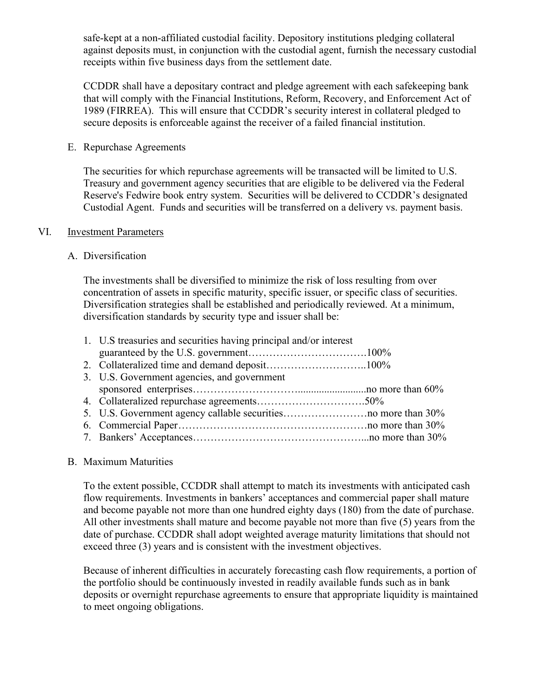safe-kept at a non-affiliated custodial facility. Depository institutions pledging collateral against deposits must, in conjunction with the custodial agent, furnish the necessary custodial receipts within five business days from the settlement date.

CCDDR shall have a depositary contract and pledge agreement with each safekeeping bank that will comply with the Financial Institutions, Reform, Recovery, and Enforcement Act of 1989 (FIRREA). This will ensure that CCDDR's security interest in collateral pledged to secure deposits is enforceable against the receiver of a failed financial institution.

#### E. Repurchase Agreements

The securities for which repurchase agreements will be transacted will be limited to U.S. Treasury and government agency securities that are eligible to be delivered via the Federal Reserve's Fedwire book entry system. Securities will be delivered to CCDDR's designated Custodial Agent. Funds and securities will be transferred on a delivery vs. payment basis.

#### VI. Investment Parameters

#### A. Diversification

The investments shall be diversified to minimize the risk of loss resulting from over concentration of assets in specific maturity, specific issuer, or specific class of securities. Diversification strategies shall be established and periodically reviewed. At a minimum, diversification standards by security type and issuer shall be:

| 1. U.S treasuries and securities having principal and/or interest |  |
|-------------------------------------------------------------------|--|
|                                                                   |  |
|                                                                   |  |
| 3. U.S. Government agencies, and government                       |  |
|                                                                   |  |
|                                                                   |  |
|                                                                   |  |
|                                                                   |  |
|                                                                   |  |
|                                                                   |  |

#### B. Maximum Maturities

To the extent possible, CCDDR shall attempt to match its investments with anticipated cash flow requirements. Investments in bankers' acceptances and commercial paper shall mature and become payable not more than one hundred eighty days (180) from the date of purchase. All other investments shall mature and become payable not more than five (5) years from the date of purchase. CCDDR shall adopt weighted average maturity limitations that should not exceed three (3) years and is consistent with the investment objectives.

Because of inherent difficulties in accurately forecasting cash flow requirements, a portion of the portfolio should be continuously invested in readily available funds such as in bank deposits or overnight repurchase agreements to ensure that appropriate liquidity is maintained to meet ongoing obligations.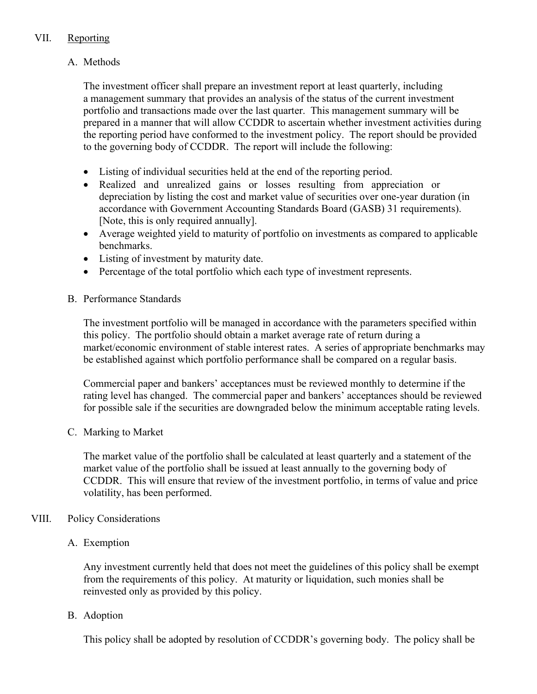## VII. Reporting

## A. Methods

The investment officer shall prepare an investment report at least quarterly, including a management summary that provides an analysis of the status of the current investment portfolio and transactions made over the last quarter. This management summary will be prepared in a manner that will allow CCDDR to ascertain whether investment activities during the reporting period have conformed to the investment policy. The report should be provided to the governing body of CCDDR. The report will include the following:

- Listing of individual securities held at the end of the reporting period.
- Realized and unrealized gains or losses resulting from appreciation or depreciation by listing the cost and market value of securities over one-year duration (in accordance with Government Accounting Standards Board (GASB) 31 requirements). [Note, this is only required annually].
- Average weighted yield to maturity of portfolio on investments as compared to applicable benchmarks.
- Listing of investment by maturity date.
- Percentage of the total portfolio which each type of investment represents.
- B. Performance Standards

The investment portfolio will be managed in accordance with the parameters specified within this policy. The portfolio should obtain a market average rate of return during a market/economic environment of stable interest rates. A series of appropriate benchmarks may be established against which portfolio performance shall be compared on a regular basis.

Commercial paper and bankers' acceptances must be reviewed monthly to determine if the rating level has changed. The commercial paper and bankers' acceptances should be reviewed for possible sale if the securities are downgraded below the minimum acceptable rating levels.

C. Marking to Market

The market value of the portfolio shall be calculated at least quarterly and a statement of the market value of the portfolio shall be issued at least annually to the governing body of CCDDR. This will ensure that review of the investment portfolio, in terms of value and price volatility, has been performed.

## VIII. Policy Considerations

## A. Exemption

Any investment currently held that does not meet the guidelines of this policy shall be exempt from the requirements of this policy. At maturity or liquidation, such monies shall be reinvested only as provided by this policy.

## B. Adoption

This policy shall be adopted by resolution of CCDDR's governing body. The policy shall be